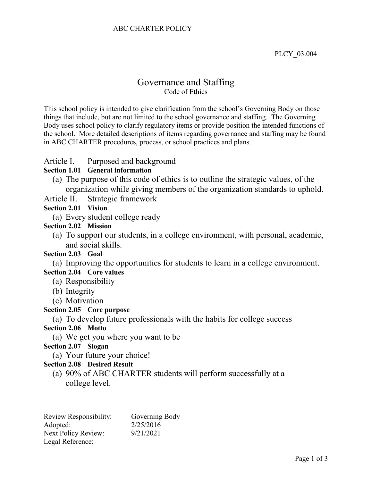### ABC CHARTER POLICY

PLCY\_03.004

# Governance and Staffing Code of Ethics

This school policy is intended to give clarification from the school's Governing Body on those things that include, but are not limited to the school governance and staffing. The Governing Body uses school policy to clarify regulatory items or provide position the intended functions of the school. More detailed descriptions of items regarding governance and staffing may be found in ABC CHARTER procedures, process, or school practices and plans.

### Article I. Purposed and background

#### **Section 1.01 General information**

- (a) The purpose of this code of ethics is to outline the strategic values, of the organization while giving members of the organization standards to uphold.
- Article II. Strategic framework

## **Section 2.01 Vision**

(a) Every student college ready

#### **Section 2.02 Mission**

(a) To support our students, in a college environment, with personal, academic, and social skills.

#### **Section 2.03 Goal**

(a) Improving the opportunities for students to learn in a college environment. **Section 2.04 Core values**

- (a) Responsibility
- (b) Integrity
- (c) Motivation

#### **Section 2.05 Core purpose**

#### (a) To develop future professionals with the habits for college success

#### **Section 2.06 Motto**

(a) We get you where you want to be

#### **Section 2.07 Slogan**

(a) Your future your choice!

#### **Section 2.08 Desired Result**

(a) 90% of ABC CHARTER students will perform successfully at a college level.

| Review Responsibility:     | Governing Body |
|----------------------------|----------------|
| Adopted:                   | 2/25/2016      |
| <b>Next Policy Review:</b> | 9/21/2021      |
| Legal Reference:           |                |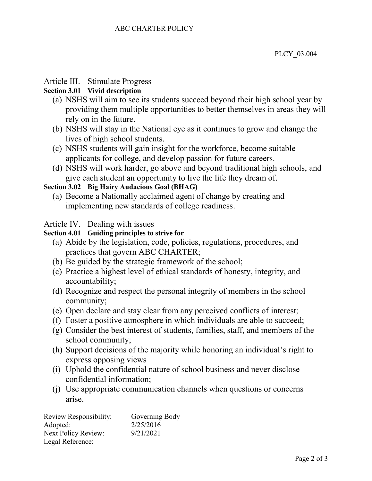# Article III. Stimulate Progress

# **Section 3.01 Vivid description**

- (a) NSHS will aim to see its students succeed beyond their high school year by providing them multiple opportunities to better themselves in areas they will rely on in the future.
- (b) NSHS will stay in the National eye as it continues to grow and change the lives of high school students.
- (c) NSHS students will gain insight for the workforce, become suitable applicants for college, and develop passion for future careers.
- (d) NSHS will work harder, go above and beyond traditional high schools, and give each student an opportunity to live the life they dream of.

## **Section 3.02 Big Hairy Audacious Goal (BHAG)**

(a) Become a Nationally acclaimed agent of change by creating and implementing new standards of college readiness.

# Article IV. Dealing with issues

## **Section 4.01 Guiding principles to strive for**

- (a) Abide by the legislation, code, policies, regulations, procedures, and practices that govern ABC CHARTER;
- (b) Be guided by the strategic framework of the school;
- (c) Practice a highest level of ethical standards of honesty, integrity, and accountability;
- (d) Recognize and respect the personal integrity of members in the school community;
- (e) Open declare and stay clear from any perceived conflicts of interest;
- (f) Foster a positive atmosphere in which individuals are able to succeed;
- (g) Consider the best interest of students, families, staff, and members of the school community;
- (h) Support decisions of the majority while honoring an individual's right to express opposing views
- (i) Uphold the confidential nature of school business and never disclose confidential information;
- (j) Use appropriate communication channels when questions or concerns arise.

| Review Responsibility:     | Governing Body |
|----------------------------|----------------|
| Adopted:                   | 2/25/2016      |
| <b>Next Policy Review:</b> | 9/21/2021      |
| Legal Reference:           |                |